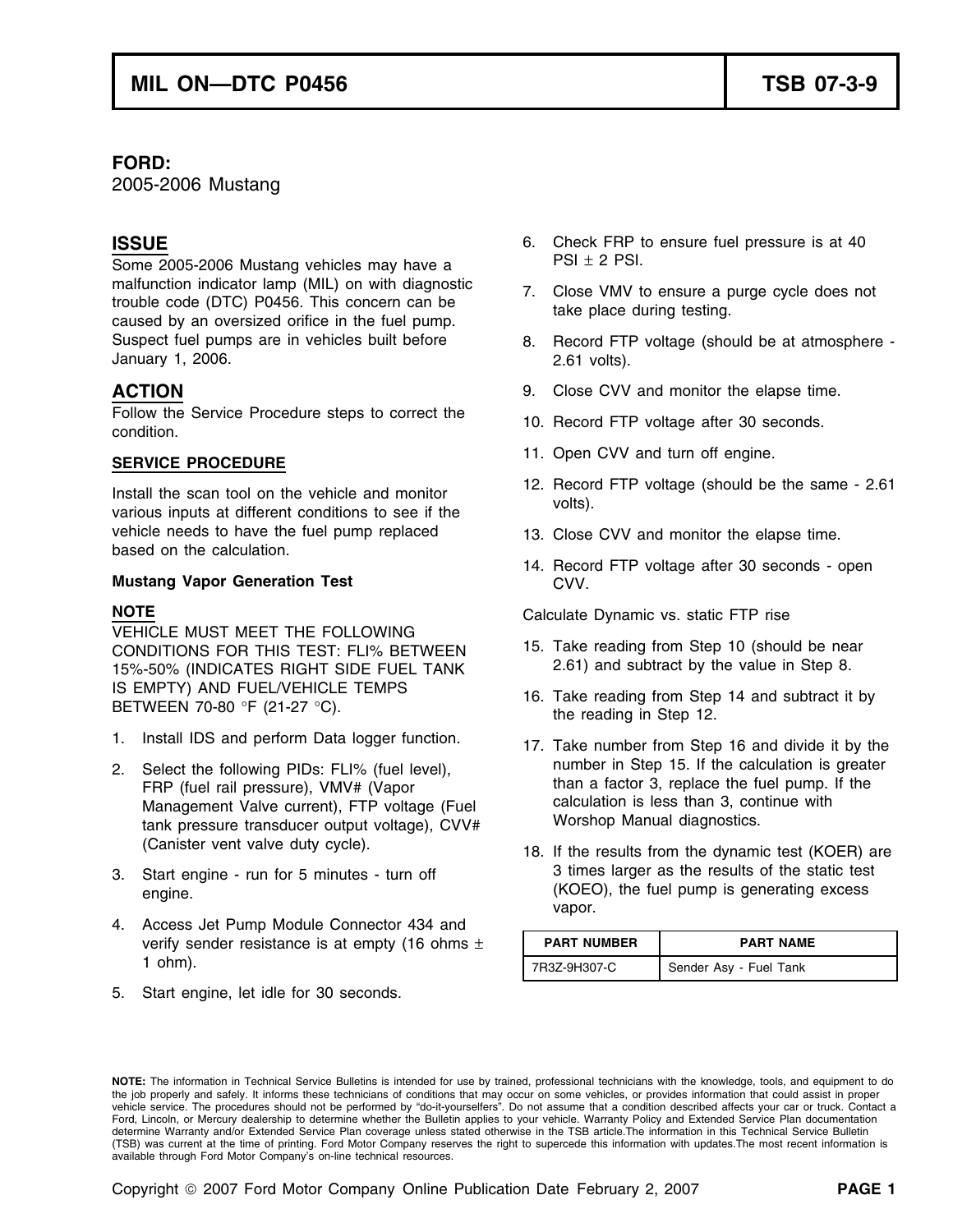## **FORD:**

2005-2006 Mustang

Some 2005-2006 Mustang vehicles may have a  $PSI \pm 2$  PSI. malfunction indicator lamp (MIL) on with diagnostic 7. Close VMV to ensure a purge cycle does not trouble code (DTC) P0456. This concern can be take place during testing.<br>caused by an oversized orifice in the fuel pump. Suspect fuel pumps are in vehicles built before 8. Record FTP voltage (should be at atmosphere -January 1, 2006. 2.61 volts).

Follow the Service Procedure steps to correct the 10. Record FTP voltage after 30 seconds.<br>condition.

vehicle needs to have the fuel pump replaced 13. Close CVV and monitor the elapse time. based on the calculation.

### **Mustang Vapor Generation Test**  CVV.

VEHICLE MUST MEET THE FOLLOWING CONDITIONS FOR THIS TEST: FLI% BETWEEN 15. Take reading from Step 10 (should be near 2.61) and subtract by the value in Step 8. 15%-50% (INDICATES RIGHT SIDE FUEL TANK IS EMPTY) AND FUEL/VEHICLE TEMPS 16. Take reading from Step 14 and subtract it by BETWEEN 70-80 °F (21-27 °C).

- 1. Install IDS and perform Data logger function. 17. Take number from Step 16 and divide it by the
- FRP (fuel rail pressure), VMV# (Vapor than a factor 3, replace the fuel pump.<br>Management Valve current) FTP voltage (Fuel state calculation is less than 3, continue with Management Valve current), FTP voltage (Fuel calculation is less than 3, continue with the calculation is less than 3, continue with the continue with the calculation is less than 3, continue with the calculation with the tank pressure transducer output voltage), CVV#
- 
- 4. Access Jet Pump Module Connector 434 and verify sender resistance is at empty (16 ohms  $\pm$
- 5. Start engine, let idle for 30 seconds.
- **ISSUE** 6. Check FRP to ensure fuel pressure is at 40
	-
	-
- **ACTION** 9. Close CVV and monitor the elapse time.
	-
- 11. Open CVV and turn off engine. **SERVICE PROCEDURE**
- Install the scan tool on the vehicle and monitor 12. Record FTP voltage (should be the same 2.61 various inputs at different conditions to see if the
	-
	- 14. Record FTP voltage after 30 seconds open

**NOTE** Calculate Dynamic vs. static FTP rise

- 
- 
- 2. Select the following PIDs: FLI% (fuel level), number in Step 15. If the calculation is greater<br>FRP (fuel rail pressure)  $NM/L$  (Vapor than a factor 3, replace the fuel pump. If the
- (Canister vent valve duty cycle). 18. If the results from the dynamic test (KOER) are 3. Start engine - run for 5 minutes - turn off 3. Start engine - run for 5 minutes - turn off 3. Start 3. Start engine. vapor.

| verify sender resistance is at empty (16 ohms $\pm$<br>ohm). | <b>PART NUMBER</b> | <b>PART NAME</b>       |
|--------------------------------------------------------------|--------------------|------------------------|
|                                                              | 7R3Z-9H307-C       | Sender Asy - Fuel Tank |

**NOTE:** The information in Technical Service Bulletins is intended for use by trained, professional technicians with the knowledge, tools, and equipment to do the job properly and safely. It informs these technicians of conditions that may occur on some vehicles, or provides information that could assist in proper vehicle service. The procedures should not be performed by "do-it-yourselfers". Do not assume that a condition described affects your car or truck. Contact a Ford, Lincoln, or Mercury dealership to determine whether the Bulletin applies to your vehicle. Warranty Policy and Extended Service Plan documentation determine Warranty and/or Extended Service Plan coverage unless stated otherwise in the TSB article.The information in this Technical Service Bulletin (TSB) was current at the time of printing. Ford Motor Company reserves the right to supercede this information with updates.The most recent information is available through Ford Motor Company's on-line technical resources.